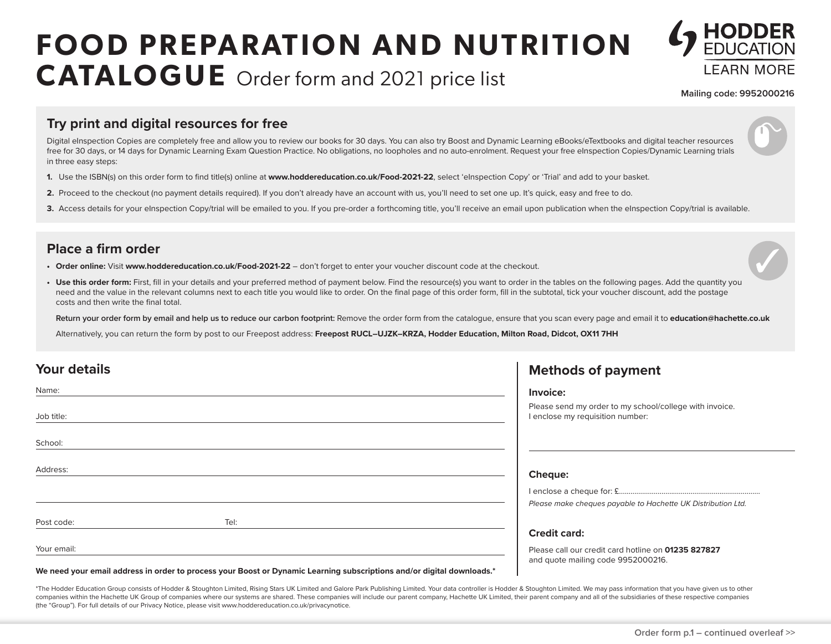# **FOOD PREPARATION AND NUTRITION CATALOGUE** Order form and 2021 price list



**Mailing code: 9952000216**

#### **Try print and digital resources for free**

Digital eInspection Copies are completely free and allow you to review our books for 30 days. You can also try Boost and Dynamic Learning eBooks/eTextbooks and digital teacher resources free for 30 days, or 14 days for Dynamic Learning Exam Question Practice. No obligations, no loopholes and no auto-enrolment. Request your free eInspection Copies/Dynamic Learning trials in three easy steps:

- **1.** Use the ISBN(s) on this order form to find title(s) online at **www.hoddereducation.co.uk/Food-2021-22**, select 'eInspection Copy' or 'Trial' and add to your basket.
- **2.** Proceed to the checkout (no payment details required). If you don't already have an account with us, you'll need to set one up. It's quick, easy and free to do.
- 3. Access details for your eInspection Copy/trial will be emailed to you. If you pre-order a forthcoming title, you'll receive an email upon publication when the eInspection Copy/trial is available.

### **Place a firm order**

- **• Order online:** Visit **www.hoddereducation.co.uk/Food-2021-22** don't forget to enter your voucher discount code at the checkout.
- Use this order form: First, fill in your details and your preferred method of payment below. Find the resource(s) you want to order in the tables on the following pages. Add the quantity you need and the value in the relevant columns next to each title you would like to order. On the final page of this order form, fill in the subtotal, tick your voucher discount, add the postage costs and then write the final total.

**Return your order form by email and help us to reduce our carbon footprint:** Remove the order form from the catalogue, ensure that you scan every page and email it to **education@hachette.co.uk**

Alternatively, you can return the form by post to our Freepost address: Freepost RUCL-UJZK-KRZA, Hodder Education, Milton Road, Didcot, OX11 7HH

| Your details |      | <b>Methods of payment</b>                                                                   |
|--------------|------|---------------------------------------------------------------------------------------------|
| Name:        |      | Invoice:                                                                                    |
| Job title:   |      | Please send my order to my school/college with invoice.<br>I enclose my requisition number: |
| School:      |      |                                                                                             |
| Address:     |      | <b>Cheque:</b>                                                                              |
|              |      |                                                                                             |
|              |      | Please make cheques payable to Hachette UK Distribution Ltd.                                |
| Post code:   | Tel: |                                                                                             |
|              |      | <b>Credit card:</b>                                                                         |
| Your email:  |      | Please call our credit card hotline on 01235 827827<br>and quote mailing code 9952000216.   |

**We need your email address in order to process your Boost or Dynamic Learning subscriptions and/or digital downloads.\***

\*The Hodder Education Group consists of Hodder & Stoughton Limited, Rising Stars UK Limited and Galore Park Publishing Limited. Your data controller is Hodder & Stoughton Limited. We may pass information that you have give companies within the Hachette UK Group of companies where our systems are shared. These companies will include our parent company, Hachette UK Limited, their parent company and all of the subsidiaries of these respective c (the "Group"). For full details of our Privacy Notice, please visit www.hoddereducation.co.uk/privacynotice.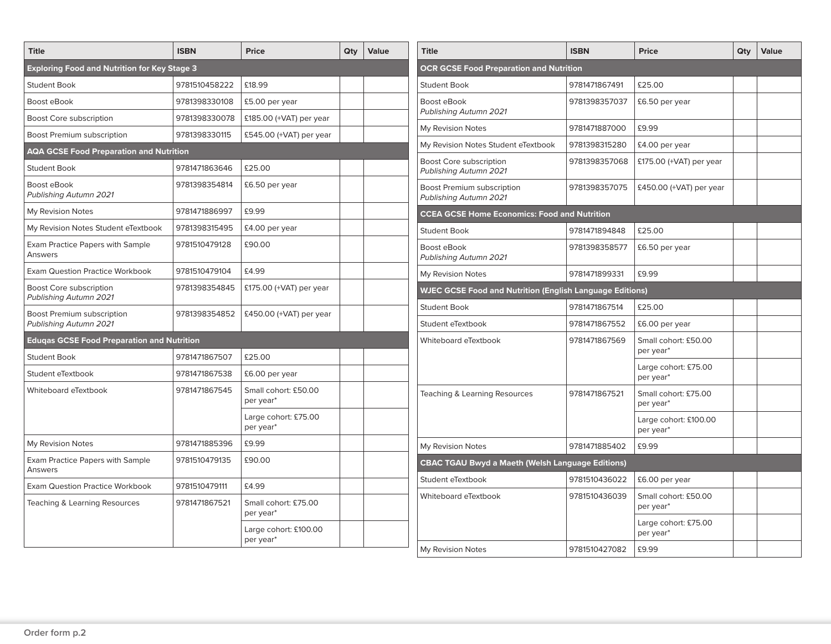| <b>Title</b>                                         | <b>ISBN</b>   | <b>Price</b>                       | Qty | <b>Value</b> |
|------------------------------------------------------|---------------|------------------------------------|-----|--------------|
| <b>Exploring Food and Nutrition for Key Stage 3</b>  |               |                                    |     |              |
| <b>Student Book</b>                                  | 9781510458222 | £18.99                             |     |              |
| Boost eBook                                          | 9781398330108 | £5.00 per year                     |     |              |
| Boost Core subscription                              | 9781398330078 | £185.00 (+VAT) per year            |     |              |
| Boost Premium subscription                           | 9781398330115 | £545.00 (+VAT) per year            |     |              |
| <b>AQA GCSE Food Preparation and Nutrition</b>       |               |                                    |     |              |
| <b>Student Book</b>                                  | 9781471863646 | £25.00                             |     |              |
| Boost eBook<br>Publishing Autumn 2021                | 9781398354814 | £6.50 per year                     |     |              |
| My Revision Notes                                    | 9781471886997 | £9.99                              |     |              |
| My Revision Notes Student eTextbook                  | 9781398315495 | £4.00 per year                     |     |              |
| <b>Exam Practice Papers with Sample</b><br>Answers   | 9781510479128 | £90.00                             |     |              |
| <b>Exam Question Practice Workbook</b>               | 9781510479104 | £4.99                              |     |              |
| Boost Core subscription<br>Publishing Autumn 2021    | 9781398354845 | £175.00 (+VAT) per year            |     |              |
| Boost Premium subscription<br>Publishing Autumn 2021 | 9781398354852 | £450.00 ( $+VAT$ ) per year        |     |              |
| <b>Edugas GCSE Food Preparation and Nutrition</b>    |               |                                    |     |              |
| <b>Student Book</b>                                  | 9781471867507 | £25.00                             |     |              |
| Student eTextbook                                    | 9781471867538 | £6.00 per year                     |     |              |
| Whiteboard eTextbook                                 | 9781471867545 | Small cohort: £50.00<br>per year*  |     |              |
|                                                      |               | Large cohort: £75.00<br>per year*  |     |              |
| My Revision Notes                                    | 9781471885396 | £9.99                              |     |              |
| Exam Practice Papers with Sample<br>Answers          | 9781510479135 | £90.00                             |     |              |
| <b>Exam Question Practice Workbook</b>               | 9781510479111 | £4.99                              |     |              |
| Teaching & Learning Resources                        | 9781471867521 | Small cohort: £75.00<br>per year*  |     |              |
|                                                      |               | Large cohort: £100.00<br>per year* |     |              |

| <b>Title</b>                                                    | <b>ISBN</b>   | <b>Price</b>                       | Qty | <b>Value</b> |  |  |  |
|-----------------------------------------------------------------|---------------|------------------------------------|-----|--------------|--|--|--|
| <b>OCR GCSE Food Preparation and Nutrition</b>                  |               |                                    |     |              |  |  |  |
| <b>Student Book</b>                                             | 9781471867491 | £25.00                             |     |              |  |  |  |
| <b>Boost eBook</b><br>Publishing Autumn 2021                    | 9781398357037 | £6.50 per year                     |     |              |  |  |  |
| My Revision Notes                                               | 9781471887000 | £9.99                              |     |              |  |  |  |
| My Revision Notes Student eTextbook                             | 9781398315280 | £4.00 per year                     |     |              |  |  |  |
| <b>Boost Core subscription</b><br>Publishing Autumn 2021        | 9781398357068 | £175.00 (+VAT) per year            |     |              |  |  |  |
| Boost Premium subscription<br>Publishing Autumn 2021            | 9781398357075 | £450.00 (+VAT) per year            |     |              |  |  |  |
| <b>CCEA GCSE Home Economics: Food and Nutrition</b>             |               |                                    |     |              |  |  |  |
| <b>Student Book</b>                                             | 9781471894848 | £25.00                             |     |              |  |  |  |
| Boost eBook<br>Publishing Autumn 2021                           | 9781398358577 | £6.50 per year                     |     |              |  |  |  |
| My Revision Notes                                               | 9781471899331 | £9.99                              |     |              |  |  |  |
| <b>WJEC GCSE Food and Nutrition (English Language Editions)</b> |               |                                    |     |              |  |  |  |
| <b>Student Book</b>                                             | 9781471867514 | £25.00                             |     |              |  |  |  |
| Student eTextbook                                               | 9781471867552 | £6.00 per year                     |     |              |  |  |  |
| Whiteboard eTextbook                                            | 9781471867569 | Small cohort: £50.00<br>per year*  |     |              |  |  |  |
|                                                                 |               | Large cohort: £75.00<br>per year*  |     |              |  |  |  |
| Teaching & Learning Resources                                   | 9781471867521 | Small cohort: £75.00<br>per year*  |     |              |  |  |  |
|                                                                 |               | Large cohort: £100.00<br>per year* |     |              |  |  |  |
| My Revision Notes                                               | 9781471885402 | £9.99                              |     |              |  |  |  |
| <b>CBAC TGAU Bwyd a Maeth (Welsh Language Editions)</b>         |               |                                    |     |              |  |  |  |
| Student eTextbook                                               | 9781510436022 | £6.00 per year                     |     |              |  |  |  |
| Whiteboard eTextbook                                            | 9781510436039 | Small cohort: £50.00<br>per year*  |     |              |  |  |  |
|                                                                 |               | Large cohort: £75.00<br>per year*  |     |              |  |  |  |
| My Revision Notes                                               | 9781510427082 | £9.99                              |     |              |  |  |  |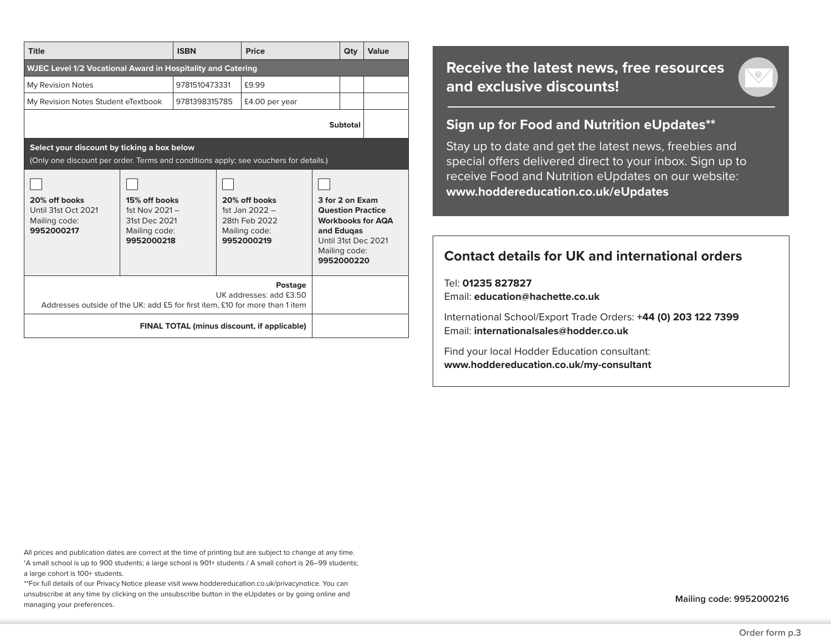| Title                                                                                                                               |                                                                                   | <b>ISBN</b>   | Price |                                                                                   |                                                                                                                                             | Qty | Value |
|-------------------------------------------------------------------------------------------------------------------------------------|-----------------------------------------------------------------------------------|---------------|-------|-----------------------------------------------------------------------------------|---------------------------------------------------------------------------------------------------------------------------------------------|-----|-------|
| <b>WJEC Level 1/2 Vocational Award in Hospitality and Catering</b>                                                                  |                                                                                   |               |       |                                                                                   |                                                                                                                                             |     |       |
| My Revision Notes                                                                                                                   |                                                                                   | 9781510473331 |       | £9.99                                                                             |                                                                                                                                             |     |       |
| My Revision Notes Student eTextbook                                                                                                 |                                                                                   | 9781398315785 |       | £4.00 per year                                                                    |                                                                                                                                             |     |       |
| Subtotal                                                                                                                            |                                                                                   |               |       |                                                                                   |                                                                                                                                             |     |       |
| Select your discount by ticking a box below<br>(Only one discount per order. Terms and conditions apply; see vouchers for details.) |                                                                                   |               |       |                                                                                   |                                                                                                                                             |     |       |
| 20% off books<br>Until 31st Oct 2021<br>Mailing code:<br>9952000217                                                                 | 15% off books<br>1st Nov $2021 -$<br>31st Dec 2021<br>Mailing code:<br>9952000218 |               |       | 20% off books<br>1st Jan $2022 -$<br>28th Feb 2022<br>Mailing code:<br>9952000219 | 3 for 2 on Exam<br><b>Question Practice</b><br><b>Workbooks for AQA</b><br>and Edugas<br>Until 31st Dec 2021<br>Mailing code:<br>9952000220 |     |       |
| Postage<br>UK addresses: add £3.50<br>Addresses outside of the UK: add £5 for first item, £10 for more than 1 item                  |                                                                                   |               |       |                                                                                   |                                                                                                                                             |     |       |
| FINAL TOTAL (minus discount, if applicable)                                                                                         |                                                                                   |               |       |                                                                                   |                                                                                                                                             |     |       |

# **Receive the latest news, free resources and exclusive discounts!**

## **Sign up for Food and Nutrition eUpdates\*\***

Stay up to date and get the latest news, freebies and special offers delivered direct to your inbox. Sign up to receive Food and Nutrition eUpdates on our website: **www.hoddereducation.co.uk/eUpdates**

# **Contact details for UK and international orders**

Tel: **01235 827827** Email: **education@hachette.co.uk**

International School/Export Trade Orders: **+44 (0) 203 122 7399**  Email: **internationalsales@hodder.co.uk**

Find your local Hodder Education consultant: **www.hoddereducation.co.uk/my-consultant**

All prices and publication dates are correct at the time of printing but are subject to change at any time. †A small school is up to 900 students; a large school is 901+ students / A small cohort is 26–99 students; a large cohort is 100+ students.

\*\*For full details of our Privacy Notice please visit www.hoddereducation.co.uk/privacynotice. You can unsubscribe at any time by clicking on the unsubscribe button in the eUpdates or by going online and managing your preferences.

**Mailing code: 9952000216**

 $\heartsuit$